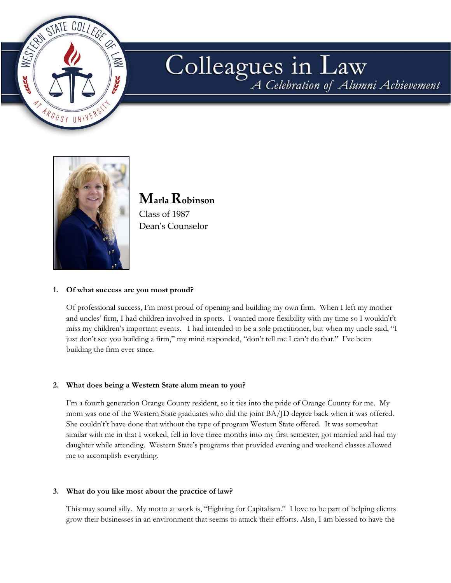

# Colleagues in Law



**Marla Robinson** Class of 1987 Dean's Counselor

## **1. Of what success are you most proud?**

Of professional success, I'm most proud of opening and building my own firm. When I left my mother and uncles' firm, I had children involved in sports. I wanted more flexibility with my time so I wouldn't't miss my children's important events. I had intended to be a sole practitioner, but when my uncle said, "I just don't see you building a firm," my mind responded, "don't tell me I can't do that." I've been building the firm ever since.

## **2. What does being a Western State alum mean to you?**

I'm a fourth generation Orange County resident, so it ties into the pride of Orange County for me. My mom was one of the Western State graduates who did the joint BA/JD degree back when it was offered. She couldn't't have done that without the type of program Western State offered. It was somewhat similar with me in that I worked, fell in love three months into my first semester, got married and had my daughter while attending. Western State's programs that provided evening and weekend classes allowed me to accomplish everything.

#### **3. What do you like most about the practice of law?**

This may sound silly. My motto at work is, "Fighting for Capitalism." I love to be part of helping clients grow their businesses in an environment that seems to attack their efforts. Also, I am blessed to have the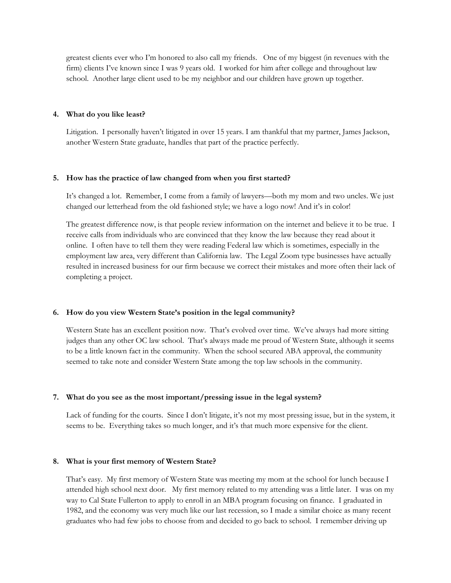greatest clients ever who I'm honored to also call my friends. One of my biggest (in revenues with the firm) clients I've known since I was 9 years old. I worked for him after college and throughout law school. Another large client used to be my neighbor and our children have grown up together.

#### **4. What do you like least?**

Litigation. I personally haven't litigated in over 15 years. I am thankful that my partner, James Jackson, another Western State graduate, handles that part of the practice perfectly.

#### **5. How has the practice of law changed from when you first started?**

It's changed a lot. Remember, I come from a family of lawyers—both my mom and two uncles. We just changed our letterhead from the old fashioned style; we have a logo now! And it's in color!

The greatest difference now, is that people review information on the internet and believe it to be true. I receive calls from individuals who are convinced that they know the law because they read about it online. I often have to tell them they were reading Federal law which is sometimes, especially in the employment law area, very different than California law. The Legal Zoom type businesses have actually resulted in increased business for our firm because we correct their mistakes and more often their lack of completing a project.

## **6. How do you view Western State's position in the legal community?**

Western State has an excellent position now. That's evolved over time. We've always had more sitting judges than any other OC law school. That's always made me proud of Western State, although it seems to be a little known fact in the community. When the school secured ABA approval, the community seemed to take note and consider Western State among the top law schools in the community.

#### **7. What do you see as the most important/pressing issue in the legal system?**

Lack of funding for the courts. Since I don't litigate, it's not my most pressing issue, but in the system, it seems to be. Everything takes so much longer, and it's that much more expensive for the client.

#### **8. What is your first memory of Western State?**

That's easy. My first memory of Western State was meeting my mom at the school for lunch because I attended high school next door. My first memory related to my attending was a little later. I was on my way to Cal State Fullerton to apply to enroll in an MBA program focusing on finance. I graduated in 1982, and the economy was very much like our last recession, so I made a similar choice as many recent graduates who had few jobs to choose from and decided to go back to school. I remember driving up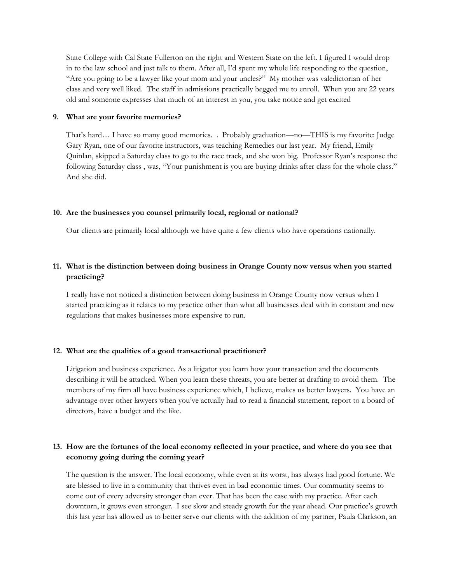State College with Cal State Fullerton on the right and Western State on the left. I figured I would drop in to the law school and just talk to them. After all, I'd spent my whole life responding to the question, "Are you going to be a lawyer like your mom and your uncles?" My mother was valedictorian of her class and very well liked. The staff in admissions practically begged me to enroll. When you are 22 years old and someone expresses that much of an interest in you, you take notice and get excited

#### **9. What are your favorite memories?**

That's hard… I have so many good memories. . Probably graduation—no—THIS is my favorite: Judge Gary Ryan, one of our favorite instructors, was teaching Remedies our last year. My friend, Emily Quinlan, skipped a Saturday class to go to the race track, and she won big. Professor Ryan's response the following Saturday class , was, "Your punishment is you are buying drinks after class for the whole class." And she did.

#### **10. Are the businesses you counsel primarily local, regional or national?**

Our clients are primarily local although we have quite a few clients who have operations nationally.

# **11. What is the distinction between doing business in Orange County now versus when you started practicing?**

I really have not noticed a distinction between doing business in Orange County now versus when I started practicing as it relates to my practice other than what all businesses deal with in constant and new regulations that makes businesses more expensive to run.

#### **12. What are the qualities of a good transactional practitioner?**

Litigation and business experience. As a litigator you learn how your transaction and the documents describing it will be attacked. When you learn these threats, you are better at drafting to avoid them. The members of my firm all have business experience which, I believe, makes us better lawyers. You have an advantage over other lawyers when you've actually had to read a financial statement, report to a board of directors, have a budget and the like.

# 13. How are the fortunes of the local economy reflected in your practice, and where do you see that **economy going during the coming year?**

The question is the answer. The local economy, while even at its worst, has always had good fortune. We are blessed to live in a community that thrives even in bad economic times. Our community seems to come out of every adversity stronger than ever. That has been the case with my practice. After each downturn, it grows even stronger. I see slow and steady growth for the year ahead. Our practice's growth this last year has allowed us to better serve our clients with the addition of my partner, Paula Clarkson, an